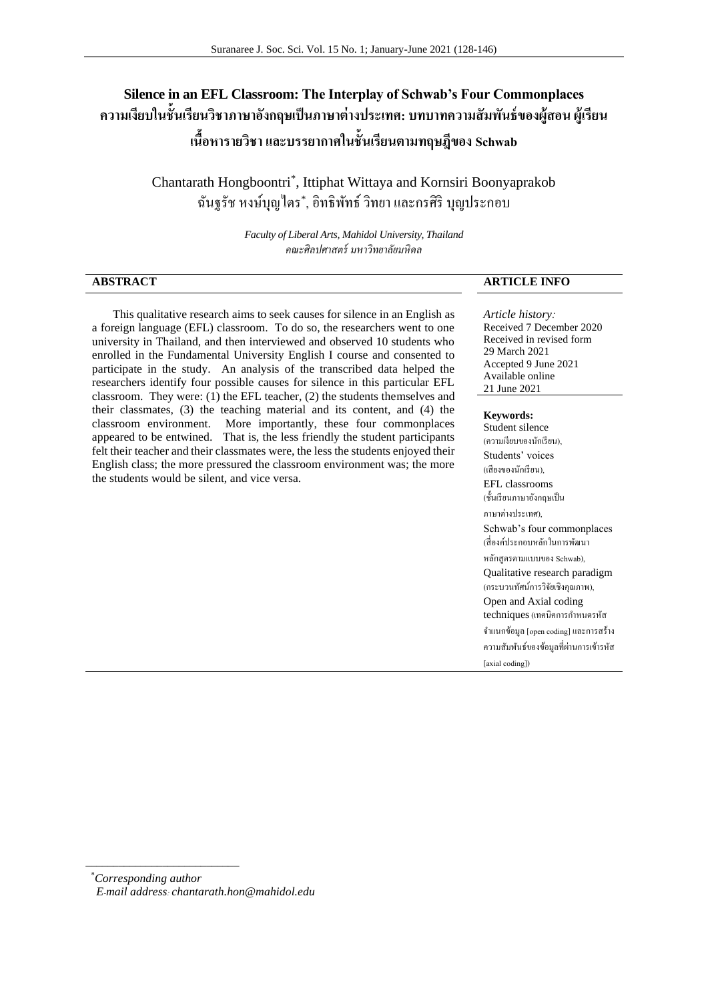# **Silence in an EFL Classroom: The Interplay of Schwab's Four Commonplaces ความเงียบในช้ันเรียนวิชาภาษาองักฤษเป็นภาษาต่างประเทศ: บทบาทความสัมพนัธ์ของผู้สอน ผู้เรียน เนื้อหารายวิชา และบรรยากาศในชั้นเรียนตามทฤษฎีของ Schwab**

Chantarath Hongboontri\* , Ittiphat Wittaya and Kornsiri Boonyaprakob ฉันฐรัช หงษ์บุญไตร\* , อิทธิพัทธ์ วิทยาและกรศิริ บุญประกอบ

> *Faculty of Liberal Arts, Mahidol University, Thailand คณะศิลปศาสตร์ มหาวิทยาลัยมหิดล*

**ABSTRACT ARTICLE INFO**

 This qualitative research aims to seek causes for silence in an English as a foreign language (EFL) classroom. To do so, the researchers went to one university in Thailand, and then interviewed and observed 10 students who enrolled in the Fundamental University English I course and consented to participate in the study. An analysis of the transcribed data helped the researchers identify four possible causes for silence in this particular EFL classroom. They were: (1) the EFL teacher, (2) the students themselves and their classmates, (3) the teaching material and its content, and (4) the classroom environment. More importantly, these four commonplaces appeared to be entwined. That is, the less friendly the student participants felt their teacher and their classmates were, the less the students enjoyed their English class; the more pressured the classroom environment was; the more the students would be silent, and vice versa.

*Article history:* Received 7 December 2020 Received in revised form 29 March 2021 Accepted 9 June 2021 Available online 21 June 2021

#### **Keywords:**

Student silence (ความเงียบของนักเรียน), Students' voices (เสียงของนักเรียน), EFL classrooms (ชั้นเรียนภาษาอังกฤษเป็น ภาษาต่างประเทศ), Schwab's four commonplaces (สี่องค์ประกอบหลักในการพัฒนา หลักสูตรตามแบบของ Schwab), Qualitative research paradigm (กระบวนทัศน์การวิจัยเชิงคุณภาพ), Open and Axial coding techniques (เทคนิคการกำหนดรหัส จ าแนกข้อมูล [open coding] และการสร้าง ความสัมพันธ์ของข้อมูลที่ผ่านการเข้ารหัส [axial coding])

\**Corresponding author E-mail address: chantarath.hon@mahidol.edu*

 $\overline{\phantom{a}}$  , where  $\overline{\phantom{a}}$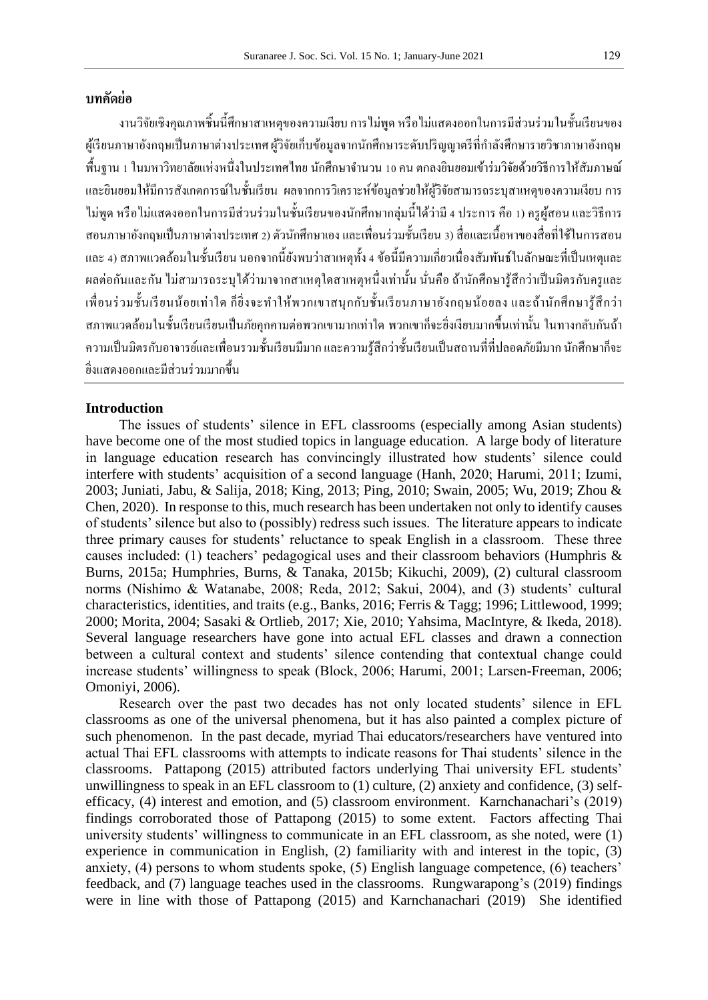## **บทคัดย่อ**

งานวิจัยเชิงคุณภาพชิ้นนี้ศึกษาสาเหตุของความเงียบ การไม่พูด หรือไม่แสดงออกในการมีส่วนร่วมในชั้นเรียนของ ผู้เรียนภาษาอังกฤษเป็ นภาษาต่างประเทศ ผู้วิจัยเก็บข้อมูลจากนักศึกษาระดับปริญญาตรีที่ก าลังศึกษารายวิชาภาษาอังกฤษ พื้นฐาน 1 ในมหาวิทยาลัยแห่งหนึ่งในประเทศไทย นักศึกษาจำนวน 10 คน ตกลงยินยอมเข้าร่มวิจัยด้วยวิธีการให้สัมภาษณ์ และยินยอมให้มีการสังเกตการณ์ในชั้นเรียน ผลจากการวิเคราะห์ข้อมูลช่วยให้ผู้วิจัยสามารถระบุสาเหตุของความเงียบ การ ไม่พูด หรือไม่แสดงออกในการมีส่วนร่วมในช้ันเรียนของนกัศึกษากลุ่มน้ีไดว้่ามี4 ประการ คือ 1) ครูผู้สอน และวิธีการ สอนภาษาองักฤษเป็นภาษาต่างประเทศ2) ตวันกัศึกษาเองและเพื่อนร่วมช้นั เรียน 3) สื่อและเน้ือหาของสื่อที่ใชใ้นการสอน และ 4) สภาพแวดล้อมในชั้นเรียน นอกจากนี้ยังพบว่าสาเหตุทั้ง 4 ข้อนี้มีความเกี่ยวเนื่องสัมพันธ์ในลักษณะที่เป็นเหตุและ ผลต่อกันและกัน ไม่สามารถระบุได้ว่ามาจากสาเหตุใดสาเหตุหนึ่งเท่านั้น นั่นคือ ถ้านักศึกษารู้สึกว่าเป็นมิตรกับครูและ เพื่อนร่วมช้ันเรียนน้อยเท่าใด ก็ยิ่งจะท าให้พวกเขาสนุกกับช้ันเรียนภาษาอังกฤษน้อยลง และถ้านักศึกษารู้สึกว่า ี สภาพแวดล้อมในชั้นเรียนเรียนเป็นภัยคกคามต่อพวกเขามากเท่าใด พวกเขาก็จะยิ่งเงียบมากขึ้นเท่านั้น ในทางกลับกันถ้า ้ ความเป็นมิตรกับอาจารย์และเพื่อนรวมชั้นเรียนมีมาก และความรู้สึกว่าชั้นเรียนเป็นสถานที่ที่ปลอดภัยมีมาก นักศึกษาก็จะ ยิ่งแสดงออกและมีส่วนร่วมมากข้ึน

## **Introduction**

The issues of students' silence in EFL classrooms (especially among Asian students) have become one of the most studied topics in language education. A large body of literature in language education research has convincingly illustrated how students' silence could interfere with students' acquisition of a second language (Hanh, 2020; Harumi, 2011; Izumi, 2003; Juniati, Jabu, & Salija, 2018; King, 2013; Ping, 2010; Swain, 2005; Wu, 2019; Zhou & Chen, 2020). In response to this, much research has been undertaken not only to identify causes of students' silence but also to (possibly) redress such issues. The literature appears to indicate three primary causes for students' reluctance to speak English in a classroom. These three causes included: (1) teachers' pedagogical uses and their classroom behaviors (Humphris & Burns, 2015a; Humphries, Burns, & Tanaka, 2015b; Kikuchi, 2009), (2) cultural classroom norms (Nishimo & Watanabe, 2008; Reda, 2012; Sakui, 2004), and (3) students' cultural characteristics, identities, and traits (e.g., Banks, 2016; Ferris & Tagg; 1996; Littlewood, 1999; 2000; Morita, 2004; Sasaki & Ortlieb, 2017; Xie, 2010; Yahsima, MacIntyre, & Ikeda, 2018). Several language researchers have gone into actual EFL classes and drawn a connection between a cultural context and students' silence contending that contextual change could increase students' willingness to speak (Block, 2006; Harumi, 2001; Larsen-Freeman, 2006; Omoniyi, 2006).

Research over the past two decades has not only located students' silence in EFL classrooms as one of the universal phenomena, but it has also painted a complex picture of such phenomenon. In the past decade, myriad Thai educators/researchers have ventured into actual Thai EFL classrooms with attempts to indicate reasons for Thai students' silence in the classrooms. Pattapong (2015) attributed factors underlying Thai university EFL students' unwillingness to speak in an EFL classroom to  $(1)$  culture,  $(2)$  anxiety and confidence,  $(3)$  selfefficacy, (4) interest and emotion, and (5) classroom environment. Karnchanachari's (2019) findings corroborated those of Pattapong (2015) to some extent. Factors affecting Thai university students' willingness to communicate in an EFL classroom, as she noted, were (1) experience in communication in English, (2) familiarity with and interest in the topic, (3) anxiety, (4) persons to whom students spoke, (5) English language competence, (6) teachers' feedback, and (7) language teaches used in the classrooms. Rungwarapong's (2019) findings were in line with those of Pattapong (2015) and Karnchanachari (2019) She identified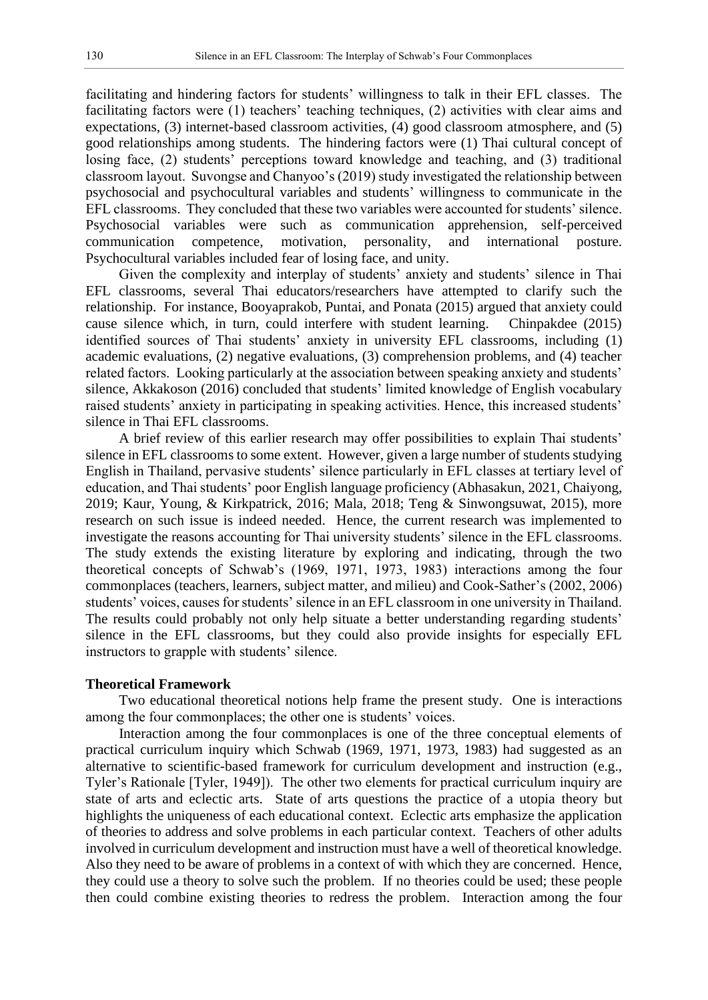facilitating and hindering factors for students' willingness to talk in their EFL classes. The facilitating factors were (1) teachers' teaching techniques, (2) activities with clear aims and expectations, (3) internet-based classroom activities, (4) good classroom atmosphere, and (5) good relationships among students. The hindering factors were (1) Thai cultural concept of losing face, (2) students' perceptions toward knowledge and teaching, and (3) traditional classroom layout. Suvongse and Chanyoo's (2019) study investigated the relationship between psychosocial and psychocultural variables and students' willingness to communicate in the EFL classrooms. They concluded that these two variables were accounted for students' silence. Psychosocial variables were such as communication apprehension, self-perceived communication competence, motivation, personality, and international posture. Psychocultural variables included fear of losing face, and unity.

Given the complexity and interplay of students' anxiety and students' silence in Thai EFL classrooms, several Thai educators/researchers have attempted to clarify such the relationship. For instance, Booyaprakob, Puntai, and Ponata (2015) argued that anxiety could cause silence which, in turn, could interfere with student learning. Chinpakdee (2015) identified sources of Thai students' anxiety in university EFL classrooms, including (1) academic evaluations, (2) negative evaluations, (3) comprehension problems, and (4) teacher related factors. Looking particularly at the association between speaking anxiety and students' silence, Akkakoson (2016) concluded that students' limited knowledge of English vocabulary raised students' anxiety in participating in speaking activities. Hence, this increased students' silence in Thai EFL classrooms.

A brief review of this earlier research may offer possibilities to explain Thai students' silence in EFL classrooms to some extent. However, given a large number of students studying English in Thailand, pervasive students' silence particularly in EFL classes at tertiary level of education, and Thai students' poor English language proficiency (Abhasakun, 2021, Chaiyong, 2019; Kaur, Young, & Kirkpatrick, 2016; Mala, 2018; Teng & Sinwongsuwat, 2015), more research on such issue is indeed needed. Hence, the current research was implemented to investigate the reasons accounting for Thai university students' silence in the EFL classrooms. The study extends the existing literature by exploring and indicating, through the two theoretical concepts of Schwab's (1969, 1971, 1973, 1983) interactions among the four commonplaces (teachers, learners, subject matter, and milieu) and Cook-Sather's (2002, 2006) students' voices, causes for students' silence in an EFL classroom in one university in Thailand. The results could probably not only help situate a better understanding regarding students' silence in the EFL classrooms, but they could also provide insights for especially EFL instructors to grapple with students' silence.

## **Theoretical Framework**

Two educational theoretical notions help frame the present study. One is interactions among the four commonplaces; the other one is students' voices.

Interaction among the four commonplaces is one of the three conceptual elements of practical curriculum inquiry which Schwab (1969, 1971, 1973, 1983) had suggested as an alternative to scientific-based framework for curriculum development and instruction (e.g., Tyler's Rationale [Tyler, 1949]). The other two elements for practical curriculum inquiry are state of arts and eclectic arts. State of arts questions the practice of a utopia theory but highlights the uniqueness of each educational context. Eclectic arts emphasize the application of theories to address and solve problems in each particular context. Teachers of other adults involved in curriculum development and instruction must have a well of theoretical knowledge. Also they need to be aware of problems in a context of with which they are concerned. Hence, they could use a theory to solve such the problem. If no theories could be used; these people then could combine existing theories to redress the problem. Interaction among the four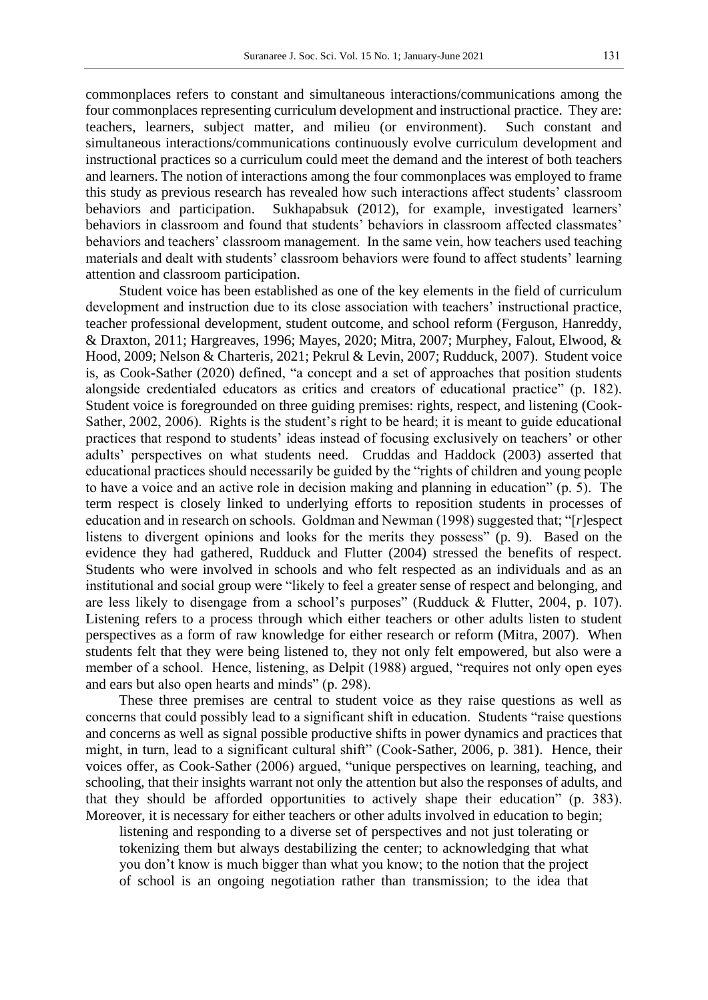commonplaces refers to constant and simultaneous interactions/communications among the four commonplaces representing curriculum development and instructional practice. They are: teachers, learners, subject matter, and milieu (or environment). Such constant and simultaneous interactions/communications continuously evolve curriculum development and instructional practices so a curriculum could meet the demand and the interest of both teachers and learners. The notion of interactions among the four commonplaces was employed to frame this study as previous research has revealed how such interactions affect students' classroom behaviors and participation. Sukhapabsuk (2012), for example, investigated learners' behaviors in classroom and found that students' behaviors in classroom affected classmates' behaviors and teachers' classroom management. In the same vein, how teachers used teaching materials and dealt with students' classroom behaviors were found to affect students' learning attention and classroom participation.

Student voice has been established as one of the key elements in the field of curriculum development and instruction due to its close association with teachers' instructional practice, teacher professional development, student outcome, and school reform (Ferguson, Hanreddy, & Draxton, 2011; Hargreaves, 1996; Mayes, 2020; Mitra, 2007; Murphey, Falout, Elwood, & Hood, 2009; Nelson & Charteris, 2021; Pekrul & Levin, 2007; Rudduck, 2007). Student voice is, as Cook-Sather (2020) defined, "a concept and a set of approaches that position students alongside credentialed educators as critics and creators of educational practice" (p. 182). Student voice is foregrounded on three guiding premises: rights, respect, and listening (Cook-Sather, 2002, 2006). Rights is the student's right to be heard; it is meant to guide educational practices that respond to students' ideas instead of focusing exclusively on teachers' or other adults' perspectives on what students need. Cruddas and Haddock (2003) asserted that educational practices should necessarily be guided by the "rights of children and young people to have a voice and an active role in decision making and planning in education" (p. 5). The term respect is closely linked to underlying efforts to reposition students in processes of education and in research on schools. Goldman and Newman (1998) suggested that; "[*r*]espect listens to divergent opinions and looks for the merits they possess" (p. 9). Based on the evidence they had gathered, Rudduck and Flutter (2004) stressed the benefits of respect. Students who were involved in schools and who felt respected as an individuals and as an institutional and social group were "likely to feel a greater sense of respect and belonging, and are less likely to disengage from a school's purposes" (Rudduck & Flutter, 2004, p. 107). Listening refers to a process through which either teachers or other adults listen to student perspectives as a form of raw knowledge for either research or reform (Mitra, 2007). When students felt that they were being listened to, they not only felt empowered, but also were a member of a school. Hence, listening, as Delpit (1988) argued, "requires not only open eyes and ears but also open hearts and minds" (p. 298).

These three premises are central to student voice as they raise questions as well as concerns that could possibly lead to a significant shift in education. Students "raise questions and concerns as well as signal possible productive shifts in power dynamics and practices that might, in turn, lead to a significant cultural shift" (Cook-Sather, 2006, p. 381). Hence, their voices offer, as Cook-Sather (2006) argued, "unique perspectives on learning, teaching, and schooling, that their insights warrant not only the attention but also the responses of adults, and that they should be afforded opportunities to actively shape their education" (p. 383). Moreover, it is necessary for either teachers or other adults involved in education to begin;

listening and responding to a diverse set of perspectives and not just tolerating or tokenizing them but always destabilizing the center; to acknowledging that what you don't know is much bigger than what you know; to the notion that the project of school is an ongoing negotiation rather than transmission; to the idea that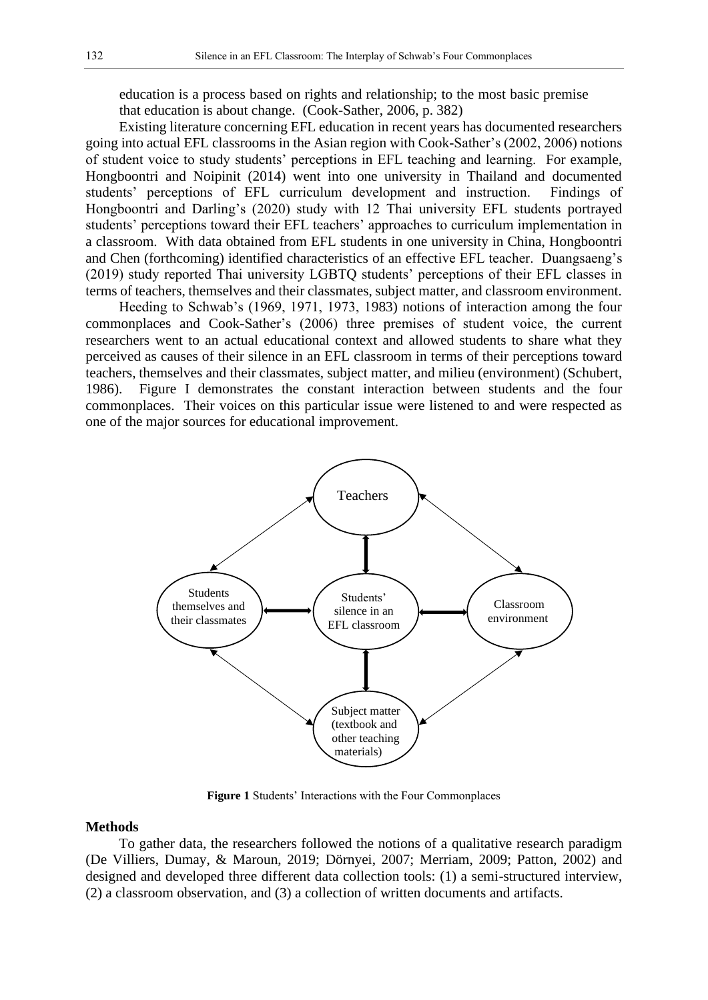education is a process based on rights and relationship; to the most basic premise that education is about change. (Cook-Sather, 2006, p. 382)

Existing literature concerning EFL education in recent years has documented researchers going into actual EFL classrooms in the Asian region with Cook-Sather's (2002, 2006) notions of student voice to study students' perceptions in EFL teaching and learning. For example, Hongboontri and Noipinit (2014) went into one university in Thailand and documented students' perceptions of EFL curriculum development and instruction. Findings of Hongboontri and Darling's (2020) study with 12 Thai university EFL students portrayed students' perceptions toward their EFL teachers' approaches to curriculum implementation in a classroom. With data obtained from EFL students in one university in China, Hongboontri and Chen (forthcoming) identified characteristics of an effective EFL teacher. Duangsaeng's (2019) study reported Thai university LGBTQ students' perceptions of their EFL classes in terms of teachers, themselves and their classmates, subject matter, and classroom environment.

Heeding to Schwab's (1969, 1971, 1973, 1983) notions of interaction among the four commonplaces and Cook-Sather's (2006) three premises of student voice, the current researchers went to an actual educational context and allowed students to share what they perceived as causes of their silence in an EFL classroom in terms of their perceptions toward teachers, themselves and their classmates, subject matter, and milieu (environment) (Schubert, 1986). Figure I demonstrates the constant interaction between students and the four commonplaces. Their voices on this particular issue were listened to and were respected as one of the major sources for educational improvement.



**Figure 1** Students' Interactions with the Four Commonplaces

## **Methods**

To gather data, the researchers followed the notions of a qualitative research paradigm (De Villiers, Dumay, & Maroun, 2019; Dörnyei, 2007; Merriam, 2009; Patton, 2002) and designed and developed three different data collection tools: (1) a semi-structured interview, (2) a classroom observation, and (3) a collection of written documents and artifacts.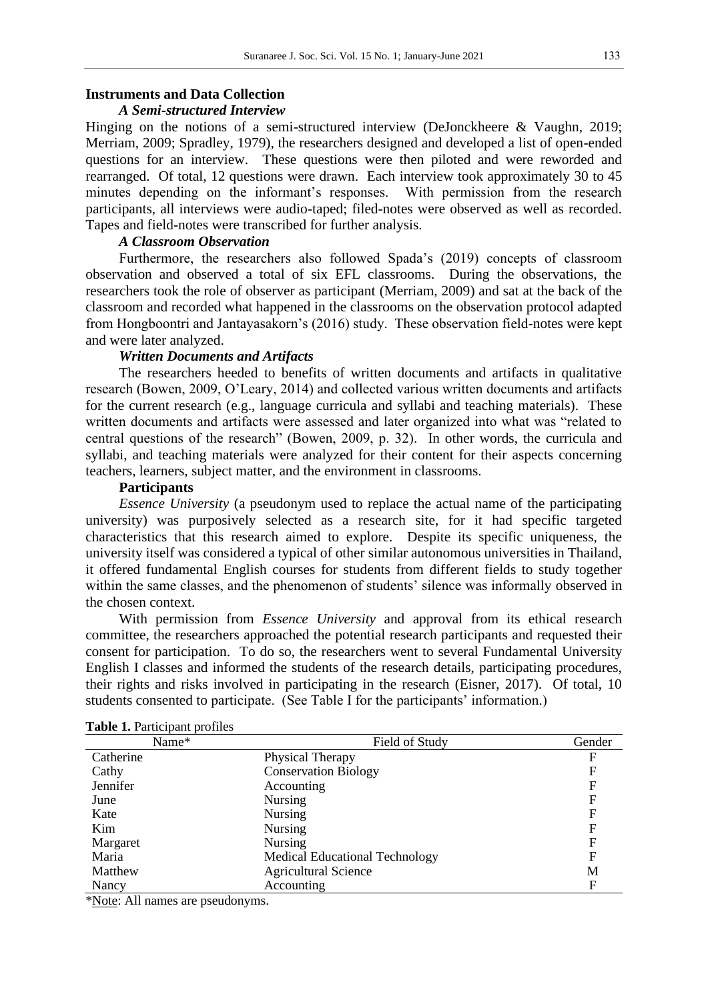## **Instruments and Data Collection**

## *A Semi-structured Interview*

Hinging on the notions of a semi-structured interview (DeJonckheere & Vaughn, 2019; Merriam, 2009; Spradley, 1979), the researchers designed and developed a list of open-ended questions for an interview. These questions were then piloted and were reworded and rearranged. Of total, 12 questions were drawn. Each interview took approximately 30 to 45 minutes depending on the informant's responses. With permission from the research participants, all interviews were audio-taped; filed-notes were observed as well as recorded. Tapes and field-notes were transcribed for further analysis.

## *A Classroom Observation*

Furthermore, the researchers also followed Spada's (2019) concepts of classroom observation and observed a total of six EFL classrooms. During the observations, the researchers took the role of observer as participant (Merriam, 2009) and sat at the back of the classroom and recorded what happened in the classrooms on the observation protocol adapted from Hongboontri and Jantayasakorn's (2016) study. These observation field-notes were kept and were later analyzed.

## *Written Documents and Artifacts*

The researchers heeded to benefits of written documents and artifacts in qualitative research (Bowen, 2009, O'Leary, 2014) and collected various written documents and artifacts for the current research (e.g., language curricula and syllabi and teaching materials). These written documents and artifacts were assessed and later organized into what was "related to central questions of the research" (Bowen, 2009, p. 32). In other words, the curricula and syllabi, and teaching materials were analyzed for their content for their aspects concerning teachers, learners, subject matter, and the environment in classrooms.

## **Participants**

*Essence University* (a pseudonym used to replace the actual name of the participating university) was purposively selected as a research site, for it had specific targeted characteristics that this research aimed to explore. Despite its specific uniqueness, the university itself was considered a typical of other similar autonomous universities in Thailand, it offered fundamental English courses for students from different fields to study together within the same classes, and the phenomenon of students' silence was informally observed in the chosen context.

With permission from *Essence University* and approval from its ethical research committee, the researchers approached the potential research participants and requested their consent for participation. To do so, the researchers went to several Fundamental University English I classes and informed the students of the research details, participating procedures, their rights and risks involved in participating in the research (Eisner, 2017). Of total, 10 students consented to participate. (See Table I for the participants' information.)

| Name*     | Field of Study                        | Gender |
|-----------|---------------------------------------|--------|
| Catherine | Physical Therapy                      | F      |
| Cathy     | <b>Conservation Biology</b>           | F      |
| Jennifer  | Accounting                            |        |
| June      | <b>Nursing</b>                        | F      |
| Kate      | <b>Nursing</b>                        | F      |
| Kim       | <b>Nursing</b>                        | F      |
| Margaret  | <b>Nursing</b>                        | F      |
| Maria     | <b>Medical Educational Technology</b> | F      |
| Matthew   | <b>Agricultural Science</b>           | M      |
| Nancy     | Accounting                            | F      |

#### **Table 1. Participant profiles**

\*Note: All names are pseudonyms.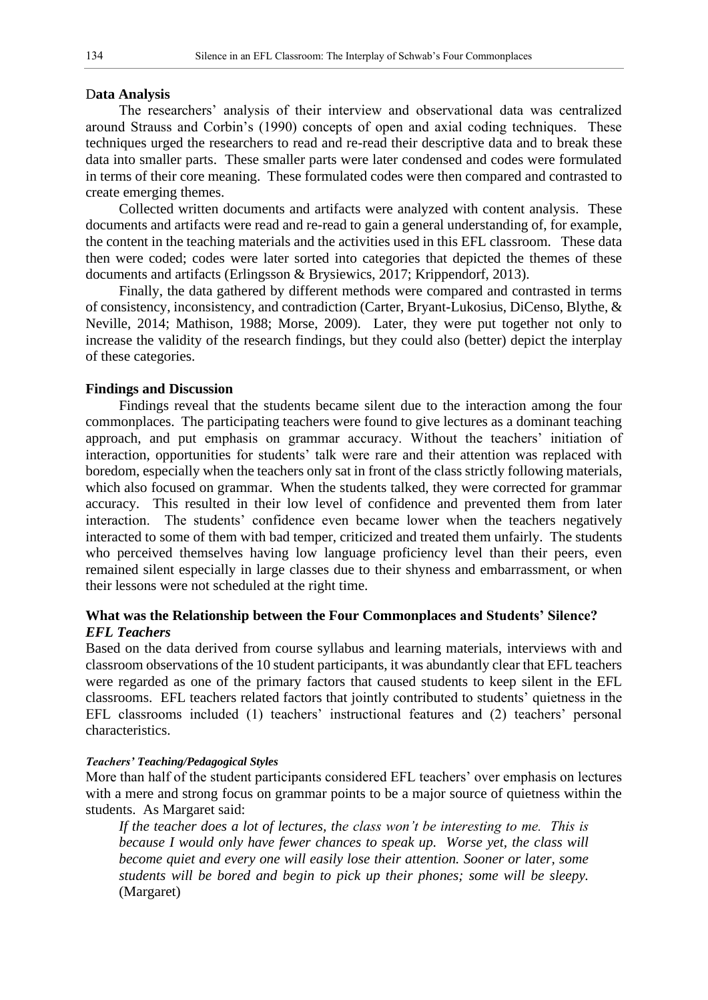#### D**ata Analysis**

The researchers' analysis of their interview and observational data was centralized around Strauss and Corbin's (1990) concepts of open and axial coding techniques. These techniques urged the researchers to read and re-read their descriptive data and to break these data into smaller parts. These smaller parts were later condensed and codes were formulated in terms of their core meaning. These formulated codes were then compared and contrasted to create emerging themes.

Collected written documents and artifacts were analyzed with content analysis. These documents and artifacts were read and re-read to gain a general understanding of, for example, the content in the teaching materials and the activities used in this EFL classroom. These data then were coded; codes were later sorted into categories that depicted the themes of these documents and artifacts (Erlingsson & Brysiewics, 2017; Krippendorf, 2013).

Finally, the data gathered by different methods were compared and contrasted in terms of consistency, inconsistency, and contradiction (Carter, Bryant-Lukosius, DiCenso, Blythe, & Neville, 2014; Mathison, 1988; Morse, 2009). Later, they were put together not only to increase the validity of the research findings, but they could also (better) depict the interplay of these categories.

## **Findings and Discussion**

Findings reveal that the students became silent due to the interaction among the four commonplaces. The participating teachers were found to give lectures as a dominant teaching approach, and put emphasis on grammar accuracy. Without the teachers' initiation of interaction, opportunities for students' talk were rare and their attention was replaced with boredom, especially when the teachers only sat in front of the class strictly following materials, which also focused on grammar. When the students talked, they were corrected for grammar accuracy. This resulted in their low level of confidence and prevented them from later interaction. The students' confidence even became lower when the teachers negatively interacted to some of them with bad temper, criticized and treated them unfairly. The students who perceived themselves having low language proficiency level than their peers, even remained silent especially in large classes due to their shyness and embarrassment, or when their lessons were not scheduled at the right time.

## **What was the Relationship between the Four Commonplaces and Students' Silence?** *EFL Teachers*

Based on the data derived from course syllabus and learning materials, interviews with and classroom observations of the 10 student participants, it was abundantly clear that EFL teachers were regarded as one of the primary factors that caused students to keep silent in the EFL classrooms. EFL teachers related factors that jointly contributed to students' quietness in the EFL classrooms included (1) teachers' instructional features and (2) teachers' personal characteristics.

#### *Teachers' Teaching/Pedagogical Styles*

More than half of the student participants considered EFL teachers' over emphasis on lectures with a mere and strong focus on grammar points to be a major source of quietness within the students. As Margaret said:

*If the teacher does a lot of lectures, the class won't be interesting to me. This is because I would only have fewer chances to speak up. Worse yet, the class will become quiet and every one will easily lose their attention. Sooner or later, some students will be bored and begin to pick up their phones; some will be sleepy.* (Margaret)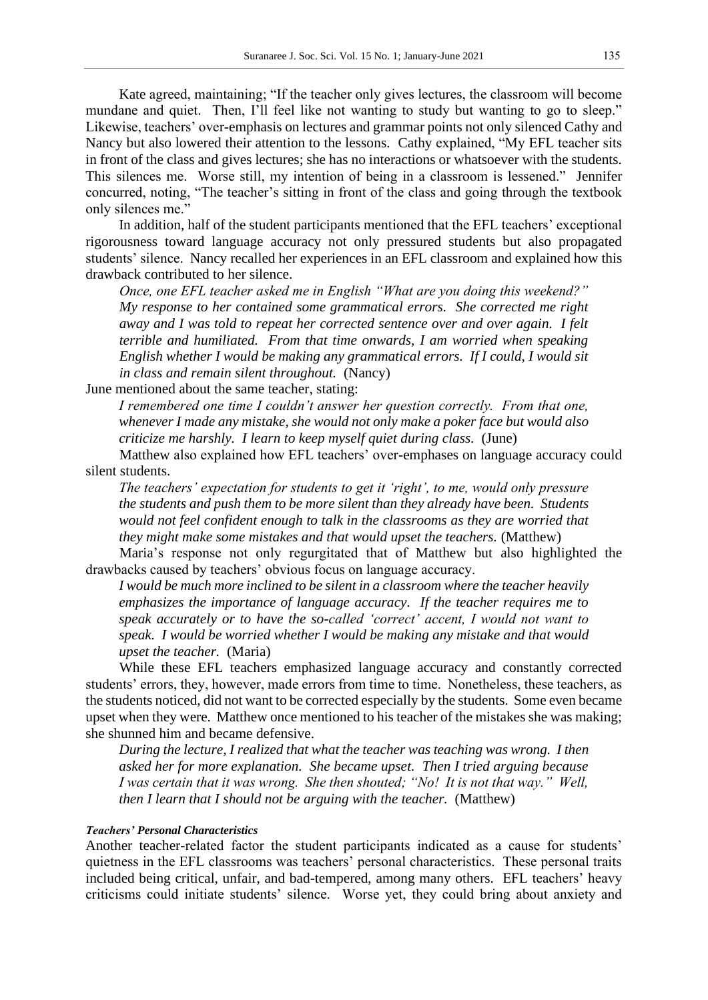Kate agreed, maintaining; "If the teacher only gives lectures, the classroom will become mundane and quiet. Then, I'll feel like not wanting to study but wanting to go to sleep." Likewise, teachers' over-emphasis on lectures and grammar points not only silenced Cathy and Nancy but also lowered their attention to the lessons. Cathy explained, "My EFL teacher sits in front of the class and gives lectures; she has no interactions or whatsoever with the students. This silences me. Worse still, my intention of being in a classroom is lessened." Jennifer concurred, noting, "The teacher's sitting in front of the class and going through the textbook only silences me."

In addition, half of the student participants mentioned that the EFL teachers' exceptional rigorousness toward language accuracy not only pressured students but also propagated students' silence. Nancy recalled her experiences in an EFL classroom and explained how this drawback contributed to her silence.

*Once, one EFL teacher asked me in English "What are you doing this weekend?" My response to her contained some grammatical errors. She corrected me right away and I was told to repeat her corrected sentence over and over again. I felt terrible and humiliated. From that time onwards, I am worried when speaking English whether I would be making any grammatical errors. If I could, I would sit in class and remain silent throughout.* (Nancy)

June mentioned about the same teacher, stating:

*I remembered one time I couldn't answer her question correctly. From that one, whenever I made any mistake, she would not only make a poker face but would also criticize me harshly. I learn to keep myself quiet during class.* (June)

Matthew also explained how EFL teachers' over-emphases on language accuracy could silent students.

*The teachers' expectation for students to get it 'right', to me, would only pressure the students and push them to be more silent than they already have been. Students would not feel confident enough to talk in the classrooms as they are worried that they might make some mistakes and that would upset the teachers.* (Matthew)

Maria's response not only regurgitated that of Matthew but also highlighted the drawbacks caused by teachers' obvious focus on language accuracy.

*I would be much more inclined to be silent in a classroom where the teacher heavily emphasizes the importance of language accuracy. If the teacher requires me to speak accurately or to have the so-called 'correct' accent, I would not want to speak. I would be worried whether I would be making any mistake and that would upset the teacher.* (Maria)

While these EFL teachers emphasized language accuracy and constantly corrected students' errors, they, however, made errors from time to time. Nonetheless, these teachers, as the students noticed, did not want to be corrected especially by the students. Some even became upset when they were. Matthew once mentioned to his teacher of the mistakes she was making; she shunned him and became defensive.

*During the lecture, I realized that what the teacher was teaching was wrong. I then asked her for more explanation. She became upset. Then I tried arguing because I was certain that it was wrong. She then shouted; "No! It is not that way." Well, then I learn that I should not be arguing with the teacher.* (Matthew)

#### *Teachers' Personal Characteristics*

Another teacher-related factor the student participants indicated as a cause for students' quietness in the EFL classrooms was teachers' personal characteristics. These personal traits included being critical, unfair, and bad-tempered, among many others. EFL teachers' heavy criticisms could initiate students' silence. Worse yet, they could bring about anxiety and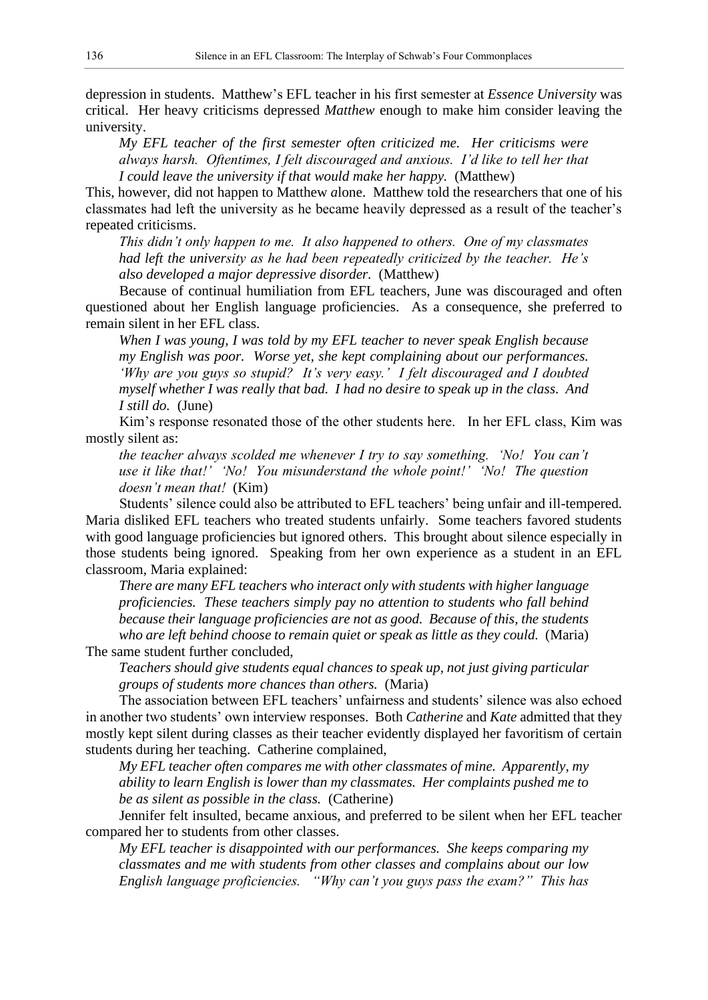depression in students. Matthew's EFL teacher in his first semester at *Essence University* was critical. Her heavy criticisms depressed *Matthew* enough to make him consider leaving the university.

*My EFL teacher of the first semester often criticized me. Her criticisms were always harsh. Oftentimes, I felt discouraged and anxious. I'd like to tell her that I could leave the university if that would make her happy.* (Matthew)

This, however, did not happen to Matthew *a*lone. Matthew told the researchers that one of his classmates had left the university as he became heavily depressed as a result of the teacher's repeated criticisms.

*This didn't only happen to me. It also happened to others. One of my classmates had left the university as he had been repeatedly criticized by the teacher. He's also developed a major depressive disorder.* (Matthew)

Because of continual humiliation from EFL teachers, June was discouraged and often questioned about her English language proficiencies. As a consequence, she preferred to remain silent in her EFL class.

*When I was young, I was told by my EFL teacher to never speak English because my English was poor. Worse yet, she kept complaining about our performances. 'Why are you guys so stupid? It's very easy.' I felt discouraged and I doubted myself whether I was really that bad. I had no desire to speak up in the class. And I still do.* (June)

Kim's response resonated those of the other students here. In her EFL class, Kim was mostly silent as:

*the teacher always scolded me whenever I try to say something. 'No! You can't use it like that!' 'No! You misunderstand the whole point!' 'No! The question doesn't mean that!* (Kim)

Students' silence could also be attributed to EFL teachers' being unfair and ill-tempered. Maria disliked EFL teachers who treated students unfairly. Some teachers favored students with good language proficiencies but ignored others. This brought about silence especially in those students being ignored. Speaking from her own experience as a student in an EFL classroom, Maria explained:

*There are many EFL teachers who interact only with students with higher language proficiencies. These teachers simply pay no attention to students who fall behind because their language proficiencies are not as good. Because of this, the students who are left behind choose to remain quiet or speak as little as they could.* (Maria)

The same student further concluded,

*Teachers should give students equal chances to speak up, not just giving particular groups of students more chances than others.* (Maria)

The association between EFL teachers' unfairness and students' silence was also echoed in another two students' own interview responses. Both *Catherine* and *Kate* admitted that they mostly kept silent during classes as their teacher evidently displayed her favoritism of certain students during her teaching. Catherine complained,

*My EFL teacher often compares me with other classmates of mine. Apparently, my ability to learn English is lower than my classmates. Her complaints pushed me to be as silent as possible in the class.* (Catherine)

Jennifer felt insulted, became anxious, and preferred to be silent when her EFL teacher compared her to students from other classes.

*My EFL teacher is disappointed with our performances. She keeps comparing my classmates and me with students from other classes and complains about our low English language proficiencies. "Why can't you guys pass the exam?" This has*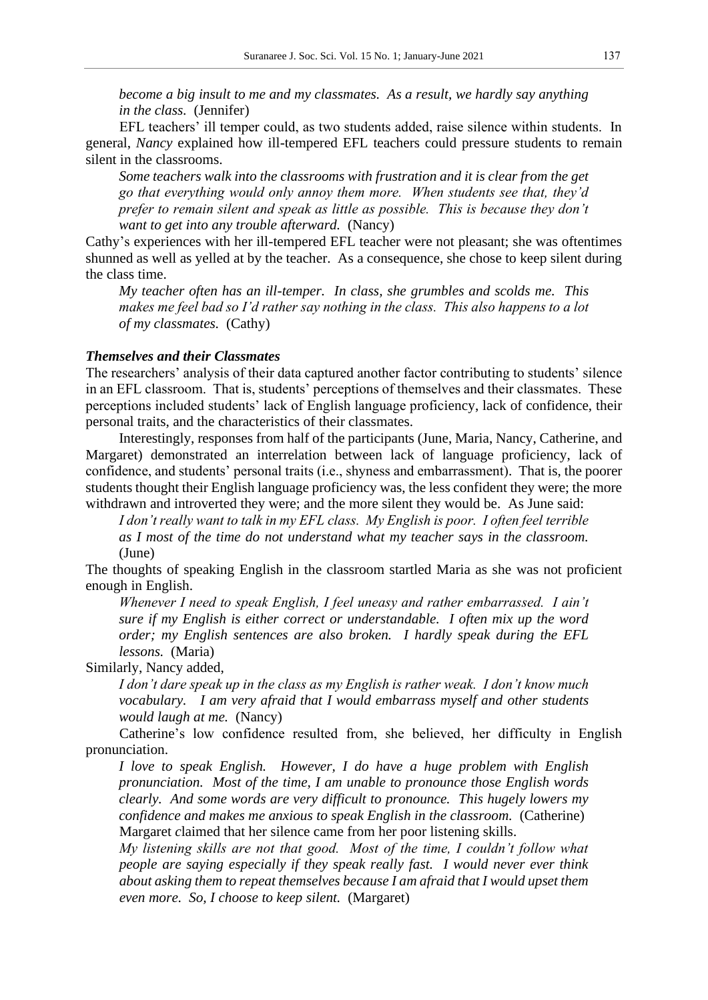*become a big insult to me and my classmates. As a result, we hardly say anything in the class.* (Jennifer)

EFL teachers' ill temper could, as two students added, raise silence within students. In general, *Nancy* explained how ill-tempered EFL teachers could pressure students to remain silent in the classrooms.

*Some teachers walk into the classrooms with frustration and it is clear from the get go that everything would only annoy them more. When students see that, they'd prefer to remain silent and speak as little as possible. This is because they don't want to get into any trouble afterward.* (Nancy)

Cathy's experiences with her ill-tempered EFL teacher were not pleasant; she was oftentimes shunned as well as yelled at by the teacher. As a consequence, she chose to keep silent during the class time.

*My teacher often has an ill-temper. In class, she grumbles and scolds me. This makes me feel bad so I'd rather say nothing in the class. This also happens to a lot of my classmates.* (Cathy)

## *Themselves and their Classmates*

The researchers' analysis of their data captured another factor contributing to students' silence in an EFL classroom. That is, students' perceptions of themselves and their classmates. These perceptions included students' lack of English language proficiency, lack of confidence, their personal traits, and the characteristics of their classmates.

Interestingly, responses from half of the participants (June, Maria, Nancy, Catherine, and Margaret) demonstrated an interrelation between lack of language proficiency, lack of confidence, and students' personal traits (i.e., shyness and embarrassment). That is, the poorer students thought their English language proficiency was, the less confident they were; the more withdrawn and introverted they were; and the more silent they would be. As June said:

*I don't really want to talk in my EFL class. My English is poor. I often feel terrible as I most of the time do not understand what my teacher says in the classroom.* (June)

The thoughts of speaking English in the classroom startled Maria as she was not proficient enough in English.

*Whenever I need to speak English, I feel uneasy and rather embarrassed. I ain't sure if my English is either correct or understandable. I often mix up the word order; my English sentences are also broken. I hardly speak during the EFL lessons.* (Maria)

Similarly, Nancy added,

*I don't dare speak up in the class as my English is rather weak. I don't know much vocabulary. I am very afraid that I would embarrass myself and other students would laugh at me.* (Nancy)

Catherine's low confidence resulted from, she believed, her difficulty in English pronunciation.

*I love to speak English. However, I do have a huge problem with English pronunciation. Most of the time, I am unable to pronounce those English words clearly. And some words are very difficult to pronounce. This hugely lowers my confidence and makes me anxious to speak English in the classroom.* (Catherine) Margaret *c*laimed that her silence came from her poor listening skills.

*My listening skills are not that good. Most of the time, I couldn't follow what people are saying especially if they speak really fast. I would never ever think about asking them to repeat themselves because I am afraid that I would upset them even more. So, I choose to keep silent.* (Margaret)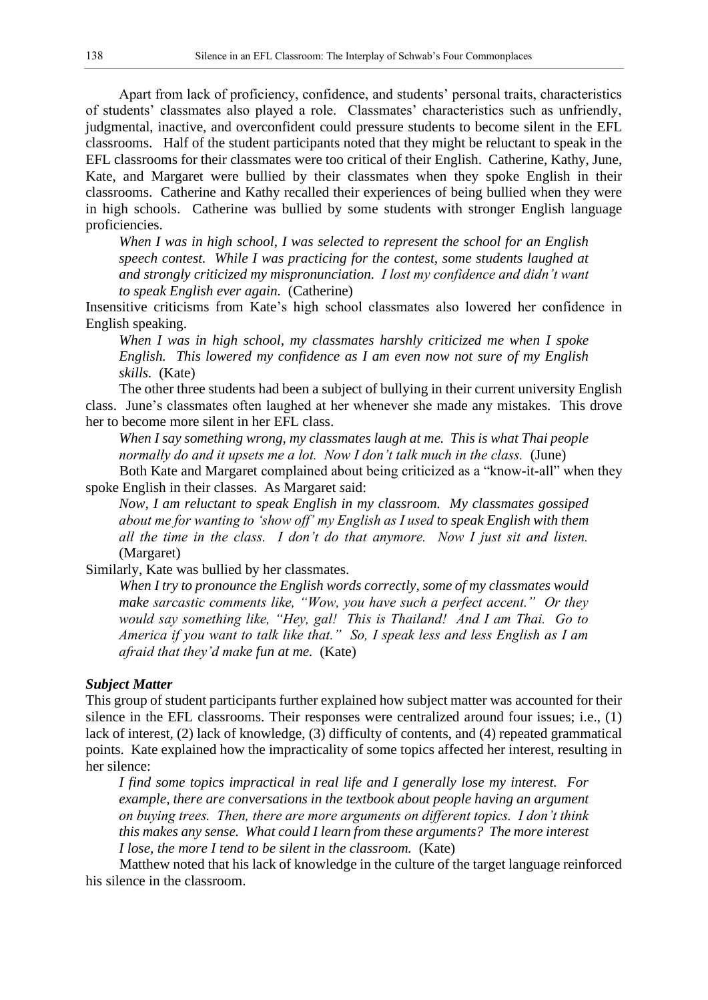Apart from lack of proficiency, confidence, and students' personal traits, characteristics of students' classmates also played a role. Classmates' characteristics such as unfriendly, judgmental, inactive, and overconfident could pressure students to become silent in the EFL classrooms. Half of the student participants noted that they might be reluctant to speak in the EFL classrooms for their classmates were too critical of their English. Catherine, Kathy, June, Kate, and Margaret were bullied by their classmates when they spoke English in their classrooms. Catherine and Kathy recalled their experiences of being bullied when they were in high schools. Catherine was bullied by some students with stronger English language proficiencies.

*When I was in high school, I was selected to represent the school for an English speech contest. While I was practicing for the contest, some students laughed at and strongly criticized my mispronunciation. I lost my confidence and didn't want to speak English ever again.* (Catherine)

Insensitive criticisms from Kate's high school classmates also lowered her confidence in English speaking.

*When I was in high school, my classmates harshly criticized me when I spoke English. This lowered my confidence as I am even now not sure of my English skills.* (Kate)

The other three students had been a subject of bullying in their current university English class. June's classmates often laughed at her whenever she made any mistakes. This drove her to become more silent in her EFL class.

*When I say something wrong, my classmates laugh at me. This is what Thai people normally do and it upsets me a lot. Now I don't talk much in the class.* (June)

Both Kate and Margaret complained about being criticized as a "know-it-all" when they spoke English in their classes. As Margaret *s*aid:

*Now, I am reluctant to speak English in my classroom. My classmates gossiped about me for wanting to 'show off' my English as I used to speak English with them all the time in the class. I don't do that anymore. Now I just sit and listen.* (Margaret)

Similarly, Kate was bullied by her classmates.

*When I try to pronounce the English words correctly, some of my classmates would make sarcastic comments like, "Wow, you have such a perfect accent." Or they would say something like, "Hey, gal! This is Thailand! And I am Thai. Go to America if you want to talk like that." So, I speak less and less English as I am afraid that they'd make fun at me.* (Kate)

## *Subject Matter*

This group of student participants further explained how subject matter was accounted for their silence in the EFL classrooms. Their responses were centralized around four issues; i.e., (1) lack of interest, (2) lack of knowledge, (3) difficulty of contents, and (4) repeated grammatical points. Kate explained how the impracticality of some topics affected her interest, resulting in her silence:

*I find some topics impractical in real life and I generally lose my interest. For example, there are conversations in the textbook about people having an argument on buying trees. Then, there are more arguments on different topics. I don't think this makes any sense. What could I learn from these arguments? The more interest I lose, the more I tend to be silent in the classroom.* (Kate)

Matthew noted that his lack of knowledge in the culture of the target language reinforced his silence in the classroom.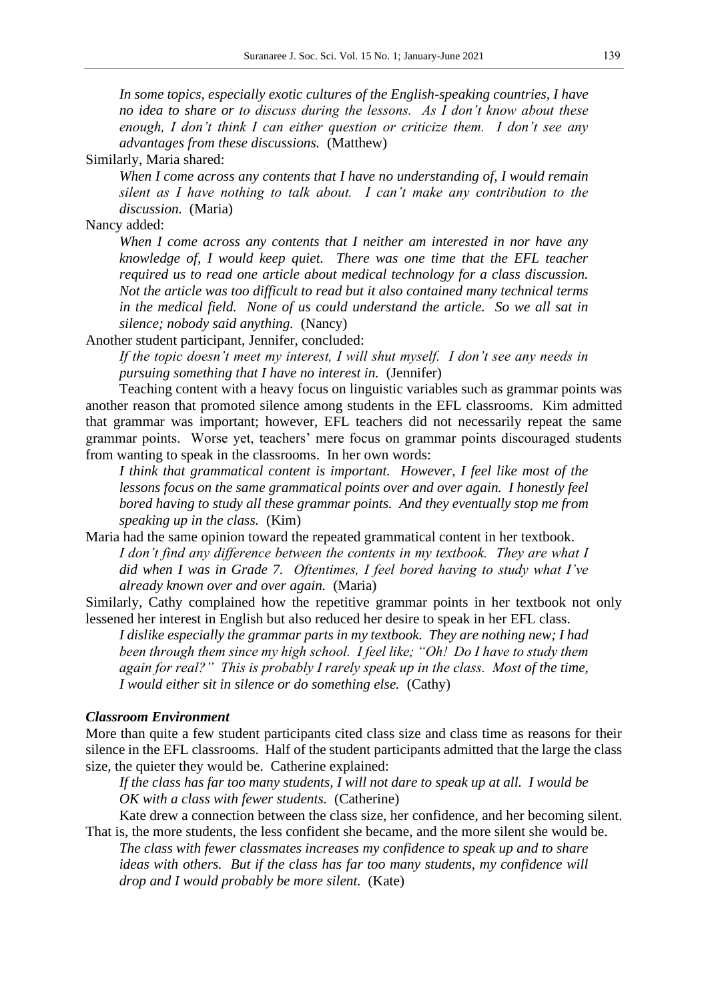*In some topics, especially exotic cultures of the English-speaking countries, I have no idea to share or to discuss during the lessons. As I don't know about these enough, I don't think I can either question or criticize them. I don't see any advantages from these discussions.* (Matthew)

Similarly, Maria shared:

*When I come across any contents that I have no understanding of, I would remain silent as I have nothing to talk about. I can't make any contribution to the discussion.* (Maria)

Nancy added:

*When I come across any contents that I neither am interested in nor have any knowledge of, I would keep quiet. There was one time that the EFL teacher required us to read one article about medical technology for a class discussion. Not the article was too difficult to read but it also contained many technical terms in the medical field. None of us could understand the article. So we all sat in silence; nobody said anything.* (Nancy)

Another student participant, Jennifer, concluded:

*If the topic doesn't meet my interest, I will shut myself. I don't see any needs in pursuing something that I have no interest in.* (Jennifer)

Teaching content with a heavy focus on linguistic variables such as grammar points was another reason that promoted silence among students in the EFL classrooms. Kim admitted that grammar was important; however, EFL teachers did not necessarily repeat the same grammar points. Worse yet, teachers' mere focus on grammar points discouraged students from wanting to speak in the classrooms. In her own words:

*I think that grammatical content is important. However, I feel like most of the lessons focus on the same grammatical points over and over again. I honestly feel bored having to study all these grammar points. And they eventually stop me from speaking up in the class.* (Kim)

Maria had the same opinion toward the repeated grammatical content in her textbook. *I don't find any difference between the contents in my textbook. They are what I did when I was in Grade 7. Oftentimes, I feel bored having to study what I've already known over and over again.* (Maria)

Similarly, Cathy complained how the repetitive grammar points in her textbook not only lessened her interest in English but also reduced her desire to speak in her EFL class.

*I dislike especially the grammar parts in my textbook. They are nothing new; I had been through them since my high school. I feel like; "Oh! Do I have to study them again for real?" This is probably I rarely speak up in the class. Most of the time, I would either sit in silence or do something else.* (Cathy)

### *Classroom Environment*

More than quite a few student participants cited class size and class time as reasons for their silence in the EFL classrooms. Half of the student participants admitted that the large the class size, the quieter they would be. Catherine explained:

*If the class has far too many students, I will not dare to speak up at all. I would be OK with a class with fewer students.* (Catherine)

Kate drew a connection between the class size, her confidence, and her becoming silent. That is, the more students, the less confident she became, and the more silent she would be.

*The class with fewer classmates increases my confidence to speak up and to share ideas with others. But if the class has far too many students, my confidence will drop and I would probably be more silent.* (Kate)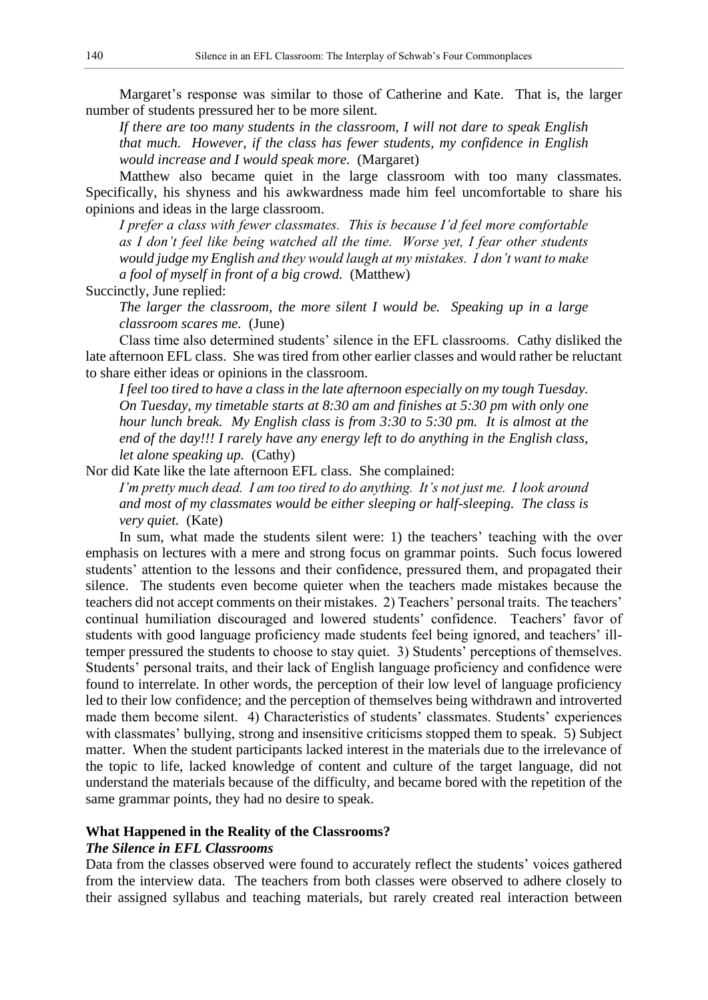Margaret's response was similar to those of Catherine and Kate. That is, the larger number of students pressured her to be more silent.

*If there are too many students in the classroom, I will not dare to speak English that much. However, if the class has fewer students, my confidence in English would increase and I would speak more.* (Margaret)

Matthew also became quiet in the large classroom with too many classmates. Specifically, his shyness and his awkwardness made him feel uncomfortable to share his opinions and ideas in the large classroom.

*I prefer a class with fewer classmates. This is because I'd feel more comfortable as I don't feel like being watched all the time. Worse yet, I fear other students would judge my English and they would laugh at my mistakes. I don't want to make a fool of myself in front of a big crowd.* (Matthew)

Succinctly, June replied:

*The larger the classroom, the more silent I would be. Speaking up in a large classroom scares me.* (June)

Class time also determined students' silence in the EFL classrooms. Cathy disliked the late afternoon EFL class. She was tired from other earlier classes and would rather be reluctant to share either ideas or opinions in the classroom.

*I feel too tired to have a class in the late afternoon especially on my tough Tuesday. On Tuesday, my timetable starts at 8:30 am and finishes at 5:30 pm with only one hour lunch break. My English class is from 3:30 to 5:30 pm. It is almost at the end of the day!!! I rarely have any energy left to do anything in the English class, let alone speaking up.* (Cathy)

Nor did Kate like the late afternoon EFL class. She complained:

*I'm pretty much dead. I am too tired to do anything. It's not just me. I look around and most of my classmates would be either sleeping or half-sleeping. The class is very quiet.* (Kate)

In sum, what made the students silent were: 1) the teachers' teaching with the over emphasis on lectures with a mere and strong focus on grammar points. Such focus lowered students' attention to the lessons and their confidence, pressured them, and propagated their silence. The students even become quieter when the teachers made mistakes because the teachers did not accept comments on their mistakes. 2) Teachers' personal traits. The teachers' continual humiliation discouraged and lowered students' confidence. Teachers' favor of students with good language proficiency made students feel being ignored, and teachers' illtemper pressured the students to choose to stay quiet. 3) Students' perceptions of themselves. Students' personal traits, and their lack of English language proficiency and confidence were found to interrelate. In other words, the perception of their low level of language proficiency led to their low confidence; and the perception of themselves being withdrawn and introverted made them become silent. 4) Characteristics of students' classmates. Students' experiences with classmates' bullying, strong and insensitive criticisms stopped them to speak. 5) Subject matter. When the student participants lacked interest in the materials due to the irrelevance of the topic to life, lacked knowledge of content and culture of the target language, did not understand the materials because of the difficulty, and became bored with the repetition of the same grammar points, they had no desire to speak.

## **What Happened in the Reality of the Classrooms?**

## *The Silence in EFL Classrooms*

Data from the classes observed were found to accurately reflect the students' voices gathered from the interview data. The teachers from both classes were observed to adhere closely to their assigned syllabus and teaching materials, but rarely created real interaction between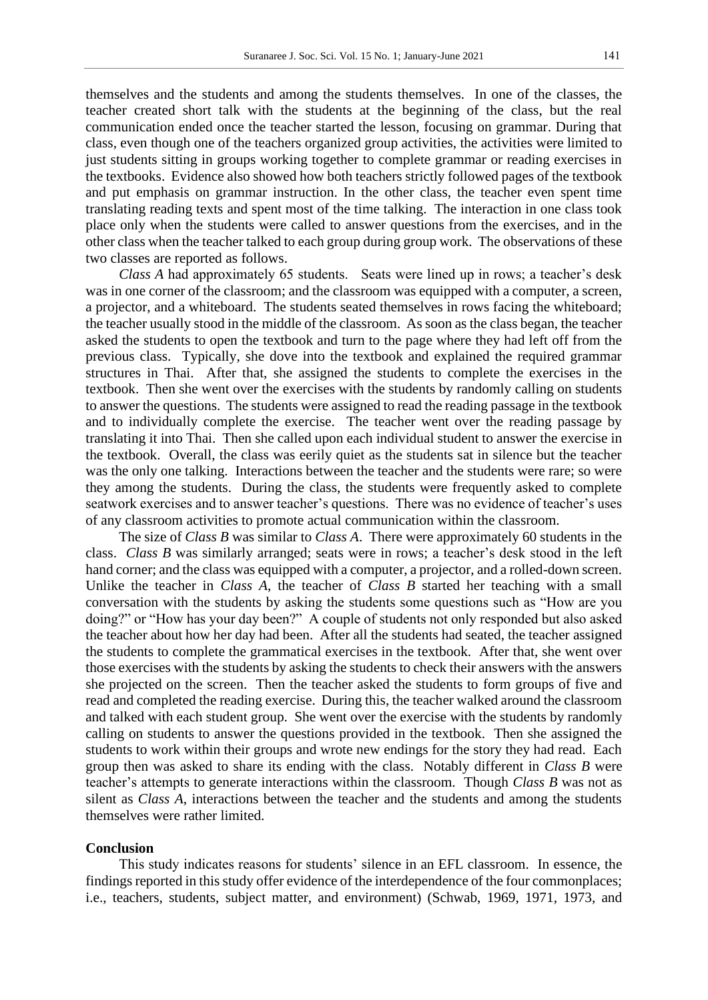themselves and the students and among the students themselves. In one of the classes, the teacher created short talk with the students at the beginning of the class, but the real communication ended once the teacher started the lesson, focusing on grammar. During that class, even though one of the teachers organized group activities, the activities were limited to just students sitting in groups working together to complete grammar or reading exercises in the textbooks. Evidence also showed how both teachers strictly followed pages of the textbook and put emphasis on grammar instruction. In the other class, the teacher even spent time translating reading texts and spent most of the time talking. The interaction in one class took place only when the students were called to answer questions from the exercises, and in the other class when the teacher talked to each group during group work. The observations of these two classes are reported as follows.

*Class A* had approximately 65 students. Seats were lined up in rows; a teacher's desk was in one corner of the classroom; and the classroom was equipped with a computer, a screen, a projector, and a whiteboard. The students seated themselves in rows facing the whiteboard; the teacher usually stood in the middle of the classroom. As soon as the class began, the teacher asked the students to open the textbook and turn to the page where they had left off from the previous class. Typically, she dove into the textbook and explained the required grammar structures in Thai. After that, she assigned the students to complete the exercises in the textbook. Then she went over the exercises with the students by randomly calling on students to answer the questions. The students were assigned to read the reading passage in the textbook and to individually complete the exercise. The teacher went over the reading passage by translating it into Thai. Then she called upon each individual student to answer the exercise in the textbook. Overall, the class was eerily quiet as the students sat in silence but the teacher was the only one talking. Interactions between the teacher and the students were rare; so were they among the students. During the class, the students were frequently asked to complete seatwork exercises and to answer teacher's questions. There was no evidence of teacher's uses of any classroom activities to promote actual communication within the classroom.

The size of *Class B* was similar to *Class A*. There were approximately 60 students in the class. *Class B* was similarly arranged; seats were in rows; a teacher's desk stood in the left hand corner; and the class was equipped with a computer, a projector, and a rolled-down screen. Unlike the teacher in *Class A*, the teacher of *Class B* started her teaching with a small conversation with the students by asking the students some questions such as "How are you doing?" or "How has your day been?" A couple of students not only responded but also asked the teacher about how her day had been. After all the students had seated, the teacher assigned the students to complete the grammatical exercises in the textbook. After that, she went over those exercises with the students by asking the students to check their answers with the answers she projected on the screen. Then the teacher asked the students to form groups of five and read and completed the reading exercise. During this, the teacher walked around the classroom and talked with each student group. She went over the exercise with the students by randomly calling on students to answer the questions provided in the textbook. Then she assigned the students to work within their groups and wrote new endings for the story they had read. Each group then was asked to share its ending with the class. Notably different in *Class B* were teacher's attempts to generate interactions within the classroom. Though *Class B* was not as silent as *Class A*, interactions between the teacher and the students and among the students themselves were rather limited.

#### **Conclusion**

This study indicates reasons for students' silence in an EFL classroom. In essence, the findings reported in this study offer evidence of the interdependence of the four commonplaces; i.e., teachers, students, subject matter, and environment) (Schwab, 1969, 1971, 1973, and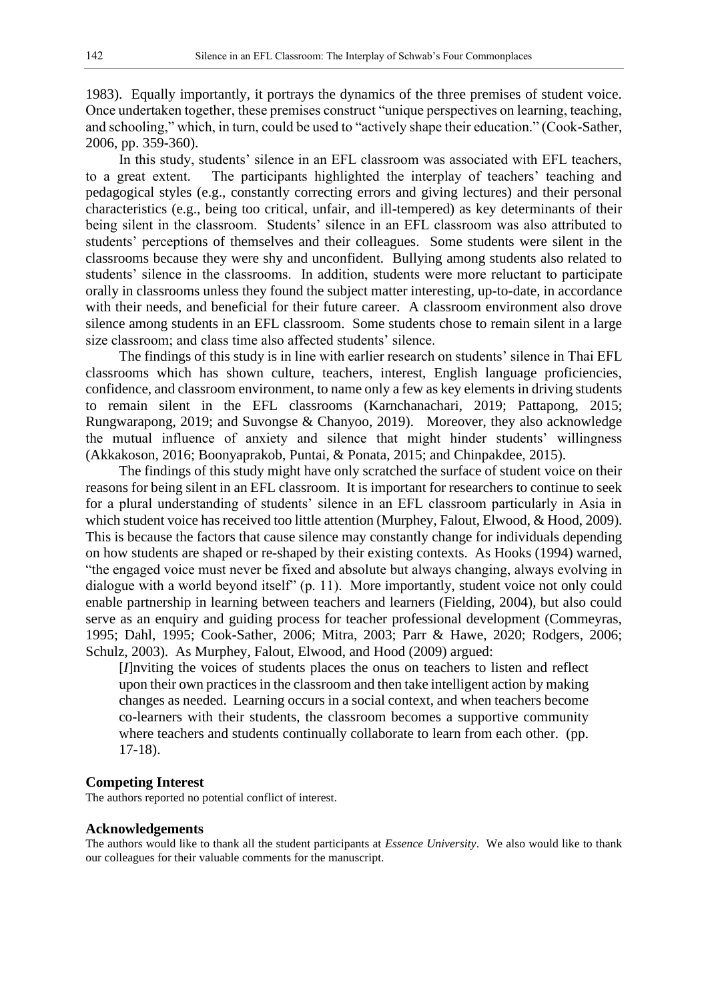1983). Equally importantly, it portrays the dynamics of the three premises of student voice. Once undertaken together, these premises construct "unique perspectives on learning, teaching, and schooling," which, in turn, could be used to "actively shape their education." (Cook-Sather, 2006, pp. 359-360).

In this study, students' silence in an EFL classroom was associated with EFL teachers, to a great extent. The participants highlighted the interplay of teachers' teaching and pedagogical styles (e.g., constantly correcting errors and giving lectures) and their personal characteristics (e.g., being too critical, unfair, and ill-tempered) as key determinants of their being silent in the classroom. Students' silence in an EFL classroom was also attributed to students' perceptions of themselves and their colleagues. Some students were silent in the classrooms because they were shy and unconfident. Bullying among students also related to students' silence in the classrooms. In addition, students were more reluctant to participate orally in classrooms unless they found the subject matter interesting, up-to-date, in accordance with their needs, and beneficial for their future career. A classroom environment also drove silence among students in an EFL classroom. Some students chose to remain silent in a large size classroom; and class time also affected students' silence.

The findings of this study is in line with earlier research on students' silence in Thai EFL classrooms which has shown culture, teachers, interest, English language proficiencies, confidence, and classroom environment, to name only a few as key elements in driving students to remain silent in the EFL classrooms (Karnchanachari, 2019; Pattapong, 2015; Rungwarapong, 2019; and Suvongse & Chanyoo, 2019). Moreover, they also acknowledge the mutual influence of anxiety and silence that might hinder students' willingness (Akkakoson, 2016; Boonyaprakob, Puntai, & Ponata, 2015; and Chinpakdee, 2015).

The findings of this study might have only scratched the surface of student voice on their reasons for being silent in an EFL classroom. It is important for researchers to continue to seek for a plural understanding of students' silence in an EFL classroom particularly in Asia in which student voice has received too little attention (Murphey, Falout, Elwood, & Hood, 2009). This is because the factors that cause silence may constantly change for individuals depending on how students are shaped or re-shaped by their existing contexts. As Hooks (1994) warned, "the engaged voice must never be fixed and absolute but always changing, always evolving in dialogue with a world beyond itself" (p. 11). More importantly, student voice not only could enable partnership in learning between teachers and learners (Fielding, 2004), but also could serve as an enquiry and guiding process for teacher professional development (Commeyras, 1995; Dahl, 1995; Cook-Sather, 2006; Mitra, 2003; Parr & Hawe, 2020; Rodgers, 2006; Schulz, 2003). As Murphey, Falout, Elwood, and Hood (2009) argued:

[*I*]nviting the voices of students places the onus on teachers to listen and reflect upon their own practices in the classroom and then take intelligent action by making changes as needed. Learning occurs in a social context, and when teachers become co-learners with their students, the classroom becomes a supportive community where teachers and students continually collaborate to learn from each other. (pp. 17-18).

## **Competing Interest**

The authors reported no potential conflict of interest.

#### **Acknowledgements**

The authors would like to thank all the student participants at *Essence University*. We also would like to thank our colleagues for their valuable comments for the manuscript.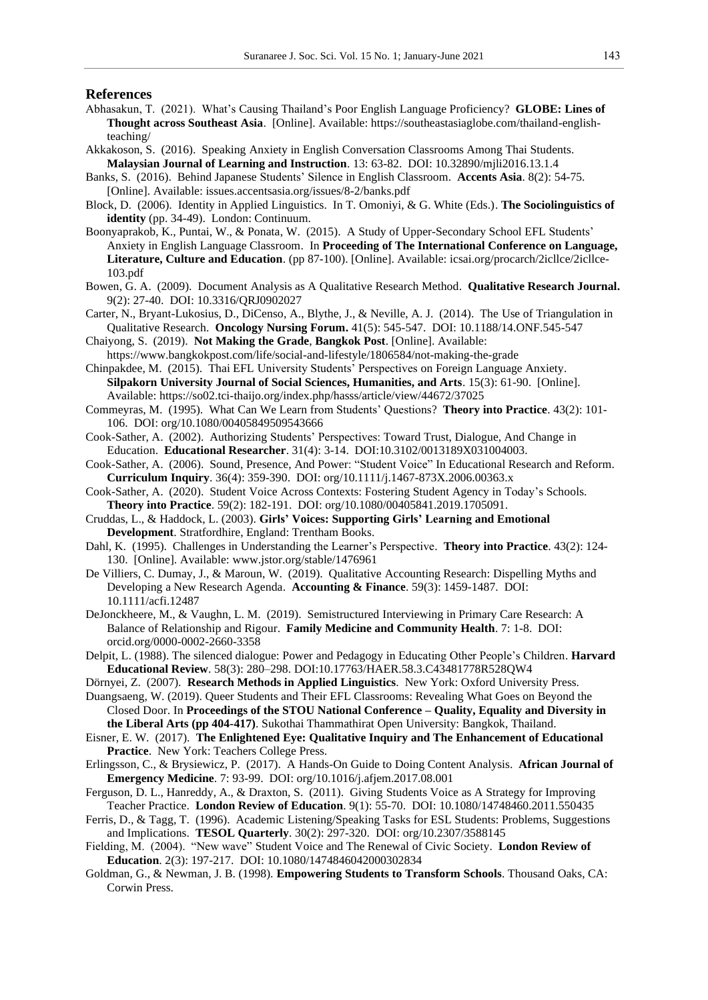#### **References**

- Abhasakun, T. (2021). What's Causing Thailand's Poor English Language Proficiency? **GLOBE: Lines of Thought across Southeast Asia**. [Online]. Available: https://southeastasiaglobe.com/thailand-englishteaching/
- Akkakoson, S. (2016). Speaking Anxiety in English Conversation Classrooms Among Thai Students. **Malaysian Journal of Learning and Instruction**. 13: 63-82. DOI: 10.32890/mjli2016.13.1.4
- Banks, S. (2016). Behind Japanese Students' Silence in English Classroom. **Accents Asia**. 8(2): 54-75. [Online]. Available: issues.accentsasia.org/issues/8-2/banks.pdf
- Block, D. (2006). Identity in Applied Linguistics. In T. Omoniyi, & G. White (Eds.). **The Sociolinguistics of identity** (pp. 34-49). London: Continuum.
- Boonyaprakob, K., Puntai, W., & Ponata, W. (2015). A Study of Upper-Secondary School EFL Students' Anxiety in English Language Classroom. In **Proceeding of The International Conference on Language, Literature, Culture and Education**. (pp 87-100). [Online]. Available: icsai.org/procarch/2icllce/2icllce-103.pdf
- Bowen, G. A. (2009). Document Analysis as A Qualitative Research Method. **Qualitative Research Journal.**  9(2): 27-40. DOI: 10.3316/QRJ0902027
- Carter, N., Bryant-Lukosius, D., DiCenso, A., Blythe, J., & Neville, A. J. (2014). The Use of Triangulation in Qualitative Research. **Oncology Nursing Forum.** 41(5): 545-547. DOI: 10.1188/14.ONF.545-547
- Chaiyong, S. (2019). **Not Making the Grade**, **Bangkok Post**. [Online]. Available: https://www.bangkokpost.com/life/social-and-lifestyle/1806584/not-making-the-grade
- Chinpakdee, M. (2015). Thai EFL University Students' Perspectives on Foreign Language Anxiety. **Silpakorn University Journal of Social Sciences, Humanities, and Arts**. 15(3): 61-90. [Online]. Available: https://so02.tci-thaijo.org/index.php/hasss/article/view/44672/37025
- Commeyras, M. (1995). What Can We Learn from Students' Questions? **Theory into Practice**. 43(2): 101- 106. DOI: org/10.1080/00405849509543666
- Cook-Sather, A. (2002). Authorizing Students' Perspectives: Toward Trust, Dialogue, And Change in Education. **Educational Researcher**. 31(4): 3-14. DOI:10.3102/0013189X031004003.
- Cook-Sather, A. (2006). Sound, Presence, And Power: "Student Voice" In Educational Research and Reform. **Curriculum Inquiry**. 36(4): 359-390. DOI: org/10.1111/j.1467-873X.2006.00363.x
- Cook-Sather, A. (2020). Student Voice Across Contexts: Fostering Student Agency in Today's Schools. **Theory into Practice**. 59(2): 182-191. DOI: org/10.1080/00405841.2019.1705091.
- Cruddas, L., & Haddock, L. (2003). **Girls' Voices: Supporting Girls' Learning and Emotional Development**. Stratfordhire, England: Trentham Books.
- Dahl, K. (1995). Challenges in Understanding the Learner's Perspective. **Theory into Practice**. 43(2): 124- 130. [Online]. Available: www.jstor.org/stable/1476961
- De Villiers, C. Dumay, J., & Maroun, W. (2019). Qualitative Accounting Research: Dispelling Myths and Developing a New Research Agenda. **Accounting & Finance**. 59(3): 1459-1487. DOI: 10.1111/acfi.12487
- DeJonckheere, M., & Vaughn, L. M. (2019). Semistructured Interviewing in Primary Care Research: A Balance of Relationship and Rigour. **Family Medicine and Community Health**. 7: 1-8. DOI: orcid.org/0000-0002-2660-3358
- Delpit, L. (1988). The silenced dialogue: Power and Pedagogy in Educating Other People's Children. **Harvard Educational Review**. 58(3): 280–298. DOI:10.17763/HAER.58.3.C43481778R528QW4

Dörnyei, Z. (2007). **Research Methods in Applied Linguistics**. New York: Oxford University Press.

- Duangsaeng, W. (2019). Queer Students and Their EFL Classrooms: Revealing What Goes on Beyond the Closed Door. In **Proceedings of the STOU National Conference – Quality, Equality and Diversity in the Liberal Arts (pp 404-417)**. Sukothai Thammathirat Open University: Bangkok, Thailand.
- Eisner, E. W. (2017). **The Enlightened Eye: Qualitative Inquiry and The Enhancement of Educational Practice**. New York: Teachers College Press.
- Erlingsson, C., & Brysiewicz, P. (2017). A Hands-On Guide to Doing Content Analysis. **African Journal of Emergency Medicine**. 7: 93-99. DOI: org/10.1016/j.afjem.2017.08.001
- Ferguson, D. L., Hanreddy, A., & Draxton, S. (2011). Giving Students Voice as A Strategy for Improving Teacher Practice. **London Review of Education**. 9(1): 55-70. DOI: 10.1080/14748460.2011.550435
- Ferris, D., & Tagg, T. (1996). Academic Listening/Speaking Tasks for ESL Students: Problems, Suggestions and Implications. **TESOL Quarterly**. 30(2): 297-320. DOI: org/10.2307/3588145
- Fielding, M. (2004). "New wave" Student Voice and The Renewal of Civic Society. **London Review of Education**. 2(3): 197-217. DOI: 10.1080/1474846042000302834
- Goldman, G., & Newman, J. B. (1998). **Empowering Students to Transform Schools**. Thousand Oaks, CA: Corwin Press.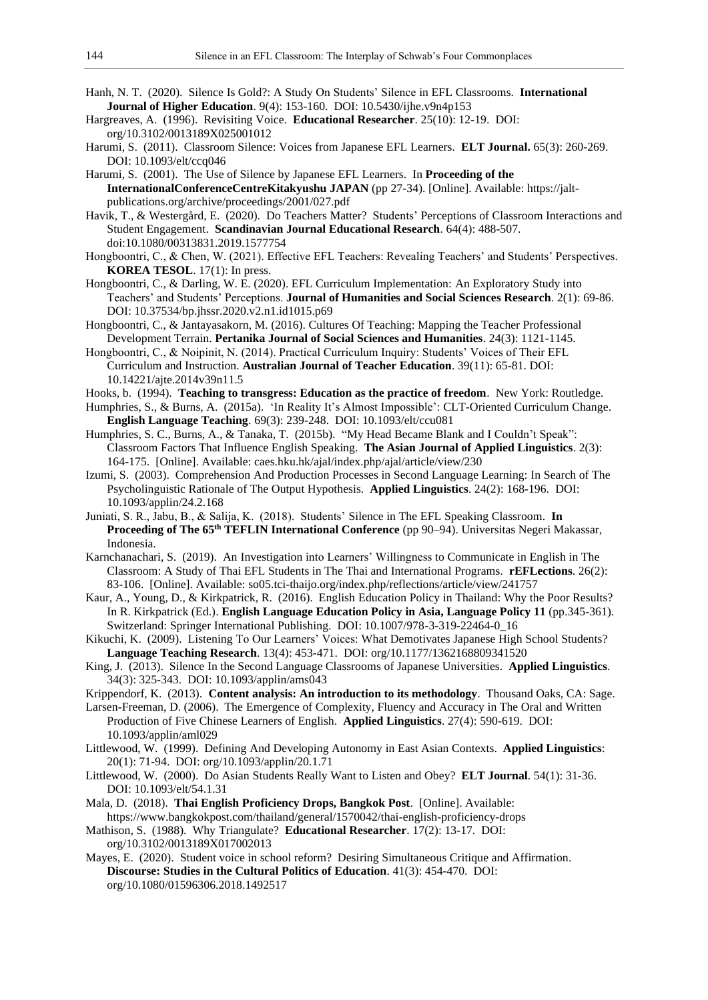- Hanh, N. T. (2020). Silence Is Gold?: A Study On Students' Silence in EFL Classrooms. **International Journal of Higher Education**. 9(4): 153-160. DOI: 10.5430/ijhe.v9n4p153
- Hargreaves, A. (1996). Revisiting Voice. **Educational Researcher**. 25(10): 12-19. DOI: org/10.3102/0013189X025001012
- Harumi, S. (2011). Classroom Silence: Voices from Japanese EFL Learners. **ELT Journal.** 65(3): 260-269. DOI: 10.1093/elt/ccq046
- Harumi, S. (2001). The Use of Silence by Japanese EFL Learners. In **Proceeding of the InternationalConferenceCentreKitakyushu JAPAN** (pp 27-34). [Online]. Available: https://jaltpublications.org/archive/proceedings/2001/027.pdf
- Havik, T., & Westergård, E. (2020). Do Teachers Matter? Students' Perceptions of Classroom Interactions and Student Engagement. **Scandinavian Journal Educational Research**. 64(4): 488-507. doi:10.1080/00313831.2019.1577754
- Hongboontri, C., & Chen, W. (2021). Effective EFL Teachers: Revealing Teachers' and Students' Perspectives. **KOREA TESOL**. 17(1): In press.
- Hongboontri, C., & Darling, W. E. (2020). EFL Curriculum Implementation: An Exploratory Study into Teachers' and Students' Perceptions. **Journal of Humanities and Social Sciences Research**. 2(1): 69-86. DOI: 10.37534/bp.jhssr.2020.v2.n1.id1015.p69
- Hongboontri, C., & Jantayasakorn, M. (2016). Cultures Of Teaching: Mapping the Teacher Professional Development Terrain. **Pertanika Journal of Social Sciences and Humanities**. 24(3): 1121-1145.
- Hongboontri, C., & Noipinit, N. (2014). Practical Curriculum Inquiry: Students' Voices of Their EFL Curriculum and Instruction. **Australian Journal of Teacher Education**. 39(11): 65-81. DOI: 10.14221/ajte.2014v39n11.5
- Hooks, b. (1994). **Teaching to transgress: Education as the practice of freedom**. New York: Routledge.
- Humphries, S., & Burns, A. (2015a). 'In Reality It's Almost Impossible': CLT-Oriented Curriculum Change. **English Language Teaching**. 69(3): 239-248. DOI: 10.1093/elt/ccu081
- Humphries, S. C., Burns, A., & Tanaka, T. (2015b). "My Head Became Blank and I Couldn't Speak": Classroom Factors That Influence English Speaking. **The Asian Journal of Applied Linguistics**. 2(3): 164-175. [Online]. Available: caes.hku.hk/ajal/index.php/ajal/article/view/230
- Izumi, S. (2003). Comprehension And Production Processes in Second Language Learning: In Search of The Psycholinguistic Rationale of The Output Hypothesis. **Applied Linguistics**. 24(2): 168-196. DOI: 10.1093/applin/24.2.168
- Juniati, S. R., Jabu, B., & Salija, K. (2018). Students' Silence in The EFL Speaking Classroom. **In Proceeding of The 65th TEFLIN International Conference** (pp 90–94). Universitas Negeri Makassar, Indonesia.
- Karnchanachari, S. (2019). An Investigation into Learners' Willingness to Communicate in English in The Classroom: A Study of Thai EFL Students in The Thai and International Programs. **rEFLections**. 26(2): 83-106. [Online]. Available: so05.tci-thaijo.org/index.php/reflections/article/view/241757
- Kaur, A., Young, D., & Kirkpatrick, R. (2016). English Education Policy in Thailand: Why the Poor Results? In R. Kirkpatrick (Ed.). **English Language Education Policy in Asia, Language Policy 11** (pp.345-361). Switzerland: Springer International Publishing. DOI: 10.1007/978-3-319-22464-0\_16
- Kikuchi, K. (2009). Listening To Our Learners' Voices: What Demotivates Japanese High School Students? **Language Teaching Research**. 13(4): 453-471. DOI: org/10.1177/1362168809341520
- King, J. (2013). Silence In the Second Language Classrooms of Japanese Universities. **Applied Linguistics**. 34(3): 325-343. DOI: 10.1093/applin/ams043
- Krippendorf, K. (2013). **Content analysis: An introduction to its methodology**. Thousand Oaks, CA: Sage.
- Larsen-Freeman, D. (2006). The Emergence of Complexity, Fluency and Accuracy in The Oral and Written Production of Five Chinese Learners of English. **Applied Linguistics**. 27(4): 590-619. DOI: 10.1093/applin/aml029
- Littlewood, W. (1999). Defining And Developing Autonomy in East Asian Contexts. **Applied Linguistics**: 20(1): 71-94. DOI: org/10.1093/applin/20.1.71
- Littlewood, W. (2000). Do Asian Students Really Want to Listen and Obey? **ELT Journal**. 54(1): 31-36. DOI: 10.1093/elt/54.1.31
- Mala, D. (2018). **Thai English Proficiency Drops, Bangkok Post**. [Online]. Available: https://www.bangkokpost.com/thailand/general/1570042/thai-english-proficiency-drops
- Mathison, S. (1988). Why Triangulate? **Educational Researcher**. 17(2): 13-17. DOI: org/10.3102/0013189X017002013
- Mayes, E. (2020). Student voice in school reform? Desiring Simultaneous Critique and Affirmation. **Discourse: Studies in the Cultural Politics of Education**. 41(3): 454-470. DOI: org/10.1080/01596306.2018.1492517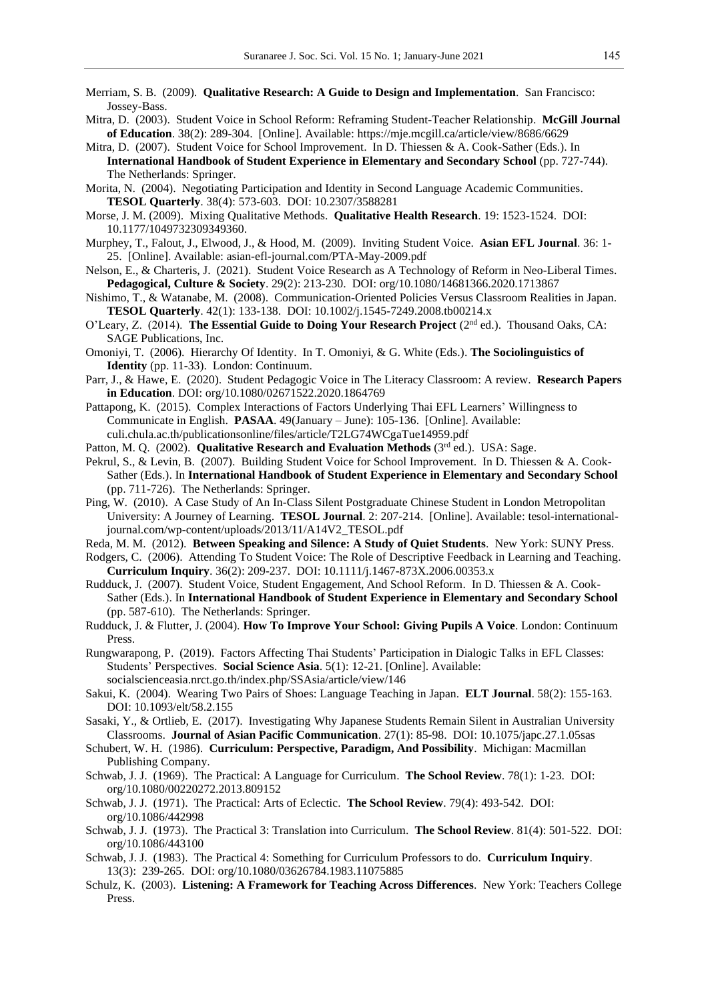- Merriam, S. B. (2009). **Qualitative Research: A Guide to Design and Implementation**. San Francisco: Jossey-Bass.
- Mitra, D. (2003). Student Voice in School Reform: Reframing Student-Teacher Relationship. **McGill Journal of Education**. 38(2): 289-304. [Online]. Available: https://mje.mcgill.ca/article/view/8686/6629
- Mitra, D. (2007). Student Voice for School Improvement. In D. Thiessen & A. Cook-Sather (Eds.). In **International Handbook of Student Experience in Elementary and Secondary School** (pp. 727-744). The Netherlands: Springer.
- Morita, N. (2004). Negotiating Participation and Identity in Second Language Academic Communities. **TESOL Quarterly**. 38(4): 573-603. DOI: 10.2307/3588281
- Morse, J. M. (2009). Mixing Qualitative Methods. **Qualitative Health Research**. 19: 1523-1524. DOI: 10.1177/1049732309349360.
- Murphey, T., Falout, J., Elwood, J., & Hood, M. (2009). Inviting Student Voice. **Asian EFL Journal**. 36: 1- 25. [Online]. Available: asian-efl-journal.com/PTA-May-2009.pdf
- Nelson, E., & Charteris, J. (2021). Student Voice Research as A Technology of Reform in Neo-Liberal Times. **Pedagogical, Culture & Society**. 29(2): 213-230. DOI: org/10.1080/14681366.2020.1713867
- Nishimo, T., & Watanabe, M. (2008). Communication-Oriented Policies Versus Classroom Realities in Japan. **TESOL Quarterly**. 42(1): 133-138. DOI: 10.1002/j.1545-7249.2008.tb00214.x
- O'Leary, Z. (2014). **The Essential Guide to Doing Your Research Project** (2nd ed.). Thousand Oaks, CA: SAGE Publications, Inc.
- Omoniyi, T. (2006). Hierarchy Of Identity. In T. Omoniyi, & G. White (Eds.). **The Sociolinguistics of Identity** (pp. 11-33). London: Continuum.
- Parr, J., & Hawe, E. (2020). Student Pedagogic Voice in The Literacy Classroom: A review. **Research Papers in Education**. DOI: org/10.1080/02671522.2020.1864769
- Pattapong, K. (2015). Complex Interactions of Factors Underlying Thai EFL Learners' Willingness to Communicate in English. **PASAA**. 49(January – June): 105-136. [Online]. Available: culi.chula.ac.th/publicationsonline/files/article/T2LG74WCgaTue14959.pdf
- Patton, M. Q. (2002). Qualitative Research and Evaluation Methods (3<sup>rd</sup> ed.). USA: Sage.
- Pekrul, S., & Levin, B. (2007). Building Student Voice for School Improvement. In D. Thiessen & A. Cook-Sather (Eds.). In **International Handbook of Student Experience in Elementary and Secondary School** (pp. 711-726). The Netherlands: Springer.
- Ping, W. (2010). A Case Study of An In-Class Silent Postgraduate Chinese Student in London Metropolitan University: A Journey of Learning. **TESOL Journal**. 2: 207-214. [Online]. Available: tesol-internationaljournal.com/wp-content/uploads/2013/11/A14V2\_TESOL.pdf
- Reda, M. M. (2012). **Between Speaking and Silence: A Study of Quiet Students**. New York: SUNY Press.
- Rodgers, C. (2006). Attending To Student Voice: The Role of Descriptive Feedback in Learning and Teaching. **Curriculum Inquiry**. 36(2): 209-237. DOI: 10.1111/j.1467-873X.2006.00353.x
- Rudduck, J. (2007). Student Voice, Student Engagement, And School Reform. In D. Thiessen & A. Cook-Sather (Eds.). In **International Handbook of Student Experience in Elementary and Secondary School** (pp. 587-610). The Netherlands: Springer.
- Rudduck, J. & Flutter, J. (2004). **How To Improve Your School: Giving Pupils A Voice**. London: Continuum Press.
- Rungwarapong, P. (2019). Factors Affecting Thai Students' Participation in Dialogic Talks in EFL Classes: Students' Perspectives. **Social Science Asia**. 5(1): 12-21. [Online]. Available: socialscienceasia.nrct.go.th/index.php/SSAsia/article/view/146
- Sakui, K. (2004). Wearing Two Pairs of Shoes: Language Teaching in Japan. **ELT Journal**. 58(2): 155-163. DOI: 10.1093/elt/58.2.155
- Sasaki, Y., & Ortlieb, E. (2017). Investigating Why Japanese Students Remain Silent in Australian University Classrooms. **Journal of Asian Pacific Communication**. 27(1): 85-98. DOI: 10.1075/japc.27.1.05sas
- Schubert, W. H. (1986). **Curriculum: Perspective, Paradigm, And Possibility**. Michigan: Macmillan Publishing Company.
- Schwab, J. J. (1969). The Practical: A Language for Curriculum. **The School Review**. 78(1): 1-23. DOI: org/10.1080/00220272.2013.809152
- Schwab, J. J. (1971). The Practical: Arts of Eclectic. **The School Review**. 79(4): 493-542. DOI: org/10.1086/442998
- Schwab, J. J. (1973). The Practical 3: Translation into Curriculum. **The School Review**. 81(4): 501-522. DOI: org/10.1086/443100
- Schwab, J. J. (1983). The Practical 4: Something for Curriculum Professors to do. **Curriculum Inquiry**. 13(3): 239-265. DOI: org/10.1080/03626784.1983.11075885
- Schulz, K. (2003). **Listening: A Framework for Teaching Across Differences**. New York: Teachers College Press.